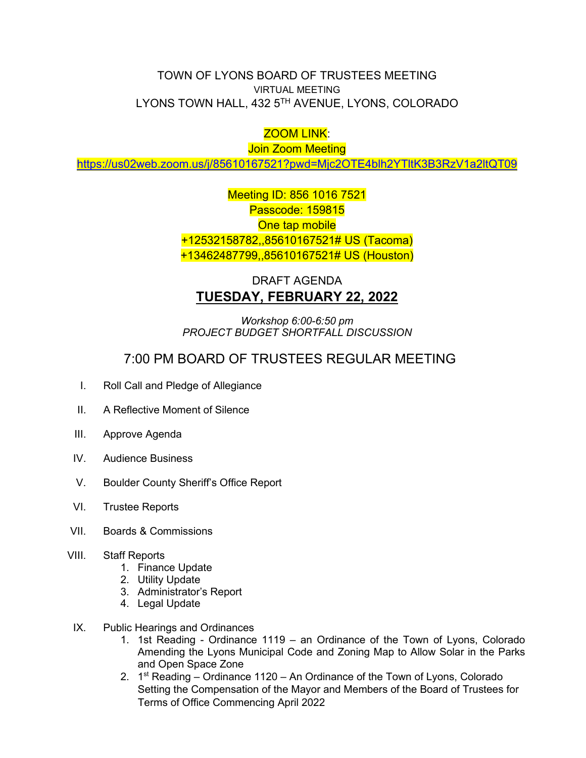## TOWN OF LYONS BOARD OF TRUSTEES MEETING VIRTUAL MEETING LYONS TOWN HALL, 432 5TH AVENUE, LYONS, COLORADO

## ZOOM LINK:

Join Zoom Meeting

<https://us02web.zoom.us/j/85610167521?pwd=Mjc2OTE4blh2YTltK3B3RzV1a2ltQT09>

Meeting ID: 856 1016 7521 Passcode: 159815 One tap mobile +12532158782,,85610167521# US (Tacoma) +13462487799,,85610167521# US (Houston)

## DRAFT AGENDA **TUESDAY, FEBRUARY 22, 2022**

*Workshop 6:00-6:50 pm PROJECT BUDGET SHORTFALL DISCUSSION*

## 7:00 PM BOARD OF TRUSTEES REGULAR MEETING

- I. Roll Call and Pledge of Allegiance
- II. A Reflective Moment of Silence
- III. Approve Agenda
- IV. Audience Business
- V. Boulder County Sheriff's Office Report
- VI. Trustee Reports
- VII. Boards & Commissions
- VIII. Staff Reports
	- 1. Finance Update
	- 2. Utility Update
	- 3. Administrator's Report
	- 4. Legal Update
- IX. Public Hearings and Ordinances
	- 1. 1st Reading Ordinance 1119 an Ordinance of the Town of Lyons, Colorado Amending the Lyons Municipal Code and Zoning Map to Allow Solar in the Parks and Open Space Zone
	- 2.  $1<sup>st</sup> Reading Ordinance 1120 An Ordinance of the Town of Lyons, Colorado$ Setting the Compensation of the Mayor and Members of the Board of Trustees for Terms of Office Commencing April 2022